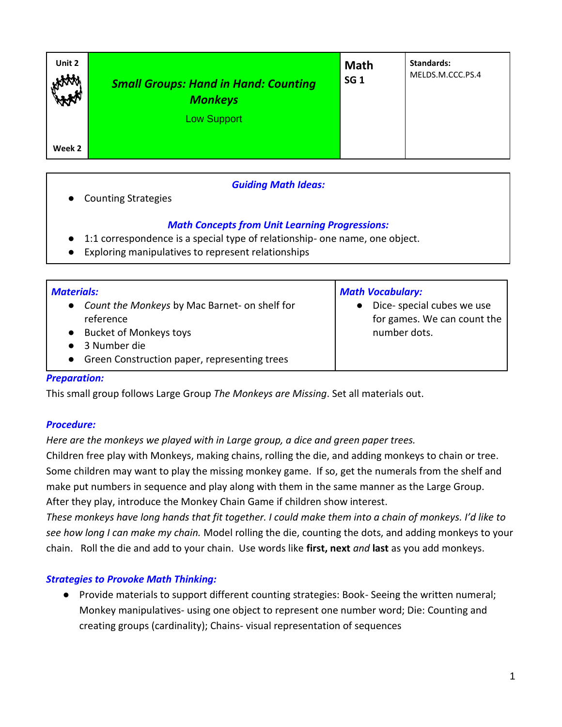| Unit 2<br><b>HAMA</b> | <b>Small Groups: Hand in Hand: Counting</b><br><b>Monkeys</b><br><b>Low Support</b> | <b>Math</b><br><b>SG 1</b> | <b>Standards:</b><br>MELDS.M.CCC.PS.4 |
|-----------------------|-------------------------------------------------------------------------------------|----------------------------|---------------------------------------|
| Week 2                |                                                                                     |                            |                                       |

## *Guiding Math Ideas:*

**Counting Strategies** 

# *Math Concepts from Unit Learning Progressions:*

- 1:1 correspondence is a special type of relationship- one name, one object.
- Exploring manipulatives to represent relationships

| <b>Materials:</b>                                                                                          | <b>Math Vocabulary:</b>                                                   |  |  |  |
|------------------------------------------------------------------------------------------------------------|---------------------------------------------------------------------------|--|--|--|
| • Count the Monkeys by Mac Barnet- on shelf for<br>reference<br>• Bucket of Monkeys toys<br>• 3 Number die | Dice- special cubes we use<br>for games. We can count the<br>number dots. |  |  |  |
| • Green Construction paper, representing trees                                                             |                                                                           |  |  |  |

## *Preparation:*

This small group follows Large Group *The Monkeys are Missing*. Set all materials out.

## *Procedure:*

## *Here are the monkeys we played with in Large group, a dice and green paper trees.*

Children free play with Monkeys, making chains, rolling the die, and adding monkeys to chain or tree. Some children may want to play the missing monkey game. If so, get the numerals from the shelf and make put numbers in sequence and play along with them in the same manner as the Large Group. After they play, introduce the Monkey Chain Game if children show interest.

*These monkeys have long hands that fit together. I could make them into a chain of monkeys. I'd like to see how long I can make my chain.* Model rolling the die, counting the dots, and adding monkeys to your chain. Roll the die and add to your chain. Use words like **first, next** *and* **last** as you add monkeys.

## *Strategies to Provoke Math Thinking:*

● Provide materials to support different counting strategies: Book- Seeing the written numeral; Monkey manipulatives- using one object to represent one number word; Die: Counting and creating groups (cardinality); Chains- visual representation of sequences